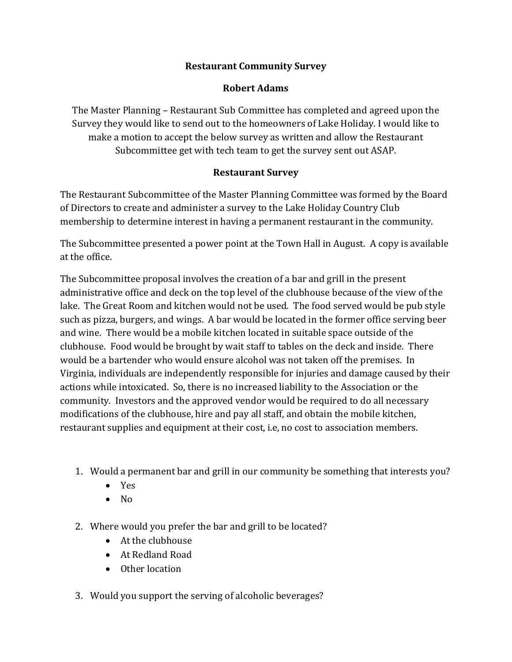## **Restaurant Community Survey**

## **Robert Adams**

The Master Planning – Restaurant Sub Committee has completed and agreed upon the Survey they would like to send out to the homeowners of Lake Holiday. I would like to make a motion to accept the below survey as written and allow the Restaurant Subcommittee get with tech team to get the survey sent out ASAP.

## **Restaurant Survey**

The Restaurant Subcommittee of the Master Planning Committee was formed by the Board of Directors to create and administer a survey to the Lake Holiday Country Club membership to determine interest in having a permanent restaurant in the community.

The Subcommittee presented a power point at the Town Hall in August. A copy is available at the office.

The Subcommittee proposal involves the creation of a bar and grill in the present administrative office and deck on the top level of the clubhouse because of the view of the lake. The Great Room and kitchen would not be used. The food served would be pub style such as pizza, burgers, and wings. A bar would be located in the former office serving beer and wine. There would be a mobile kitchen located in suitable space outside of the clubhouse. Food would be brought by wait staff to tables on the deck and inside. There would be a bartender who would ensure alcohol was not taken off the premises. In Virginia, individuals are independently responsible for injuries and damage caused by their actions while intoxicated. So, there is no increased liability to the Association or the community. Investors and the approved vendor would be required to do all necessary modifications of the clubhouse, hire and pay all staff, and obtain the mobile kitchen, restaurant supplies and equipment at their cost, i.e, no cost to association members.

- 1. Would a permanent bar and grill in our community be something that interests you?
	- Yes
	- No
- 2. Where would you prefer the bar and grill to be located?
	- At the clubhouse
	- At Redland Road
	- Other location
- 3. Would you support the serving of alcoholic beverages?